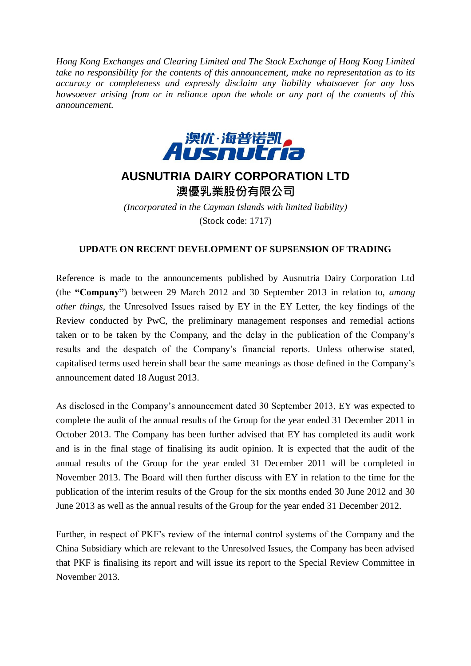*Hong Kong Exchanges and Clearing Limited and The Stock Exchange of Hong Kong Limited take no responsibility for the contents of this announcement, make no representation as to its accuracy or completeness and expressly disclaim any liability whatsoever for any loss howsoever arising from or in reliance upon the whole or any part of the contents of this announcement.*



## **AUSNUTRIA DAIRY CORPORATION LTD**

澳優乳業股份有限公司

*(Incorporated in the Cayman Islands with limited liability)* (Stock code: 1717)

## **UPDATE ON RECENT DEVELOPMENT OF SUPSENSION OF TRADING**

Reference is made to the announcements published by Ausnutria Dairy Corporation Ltd (the **"Company"**) between 29 March 2012 and 30 September 2013 in relation to, *among other things,* the Unresolved Issues raised by EY in the EY Letter, the key findings of the Review conducted by PwC, the preliminary management responses and remedial actions taken or to be taken by the Company, and the delay in the publication of the Company's results and the despatch of the Company's financial reports. Unless otherwise stated, capitalised terms used herein shall bear the same meanings as those defined in the Company's announcement dated 18 August 2013.

As disclosed in the Company's announcement dated 30 September 2013, EY was expected to complete the audit of the annual results of the Group for the year ended 31 December 2011 in October 2013. The Company has been further advised that EY has completed its audit work and is in the final stage of finalising its audit opinion. It is expected that the audit of the annual results of the Group for the year ended 31 December 2011 will be completed in November 2013. The Board will then further discuss with EY in relation to the time for the publication of the interim results of the Group for the six months ended 30 June 2012 and 30 June 2013 as well as the annual results of the Group for the year ended 31 December 2012.

Further, in respect of PKF's review of the internal control systems of the Company and the China Subsidiary which are relevant to the Unresolved Issues, the Company has been advised that PKF is finalising its report and will issue its report to the Special Review Committee in November 2013.